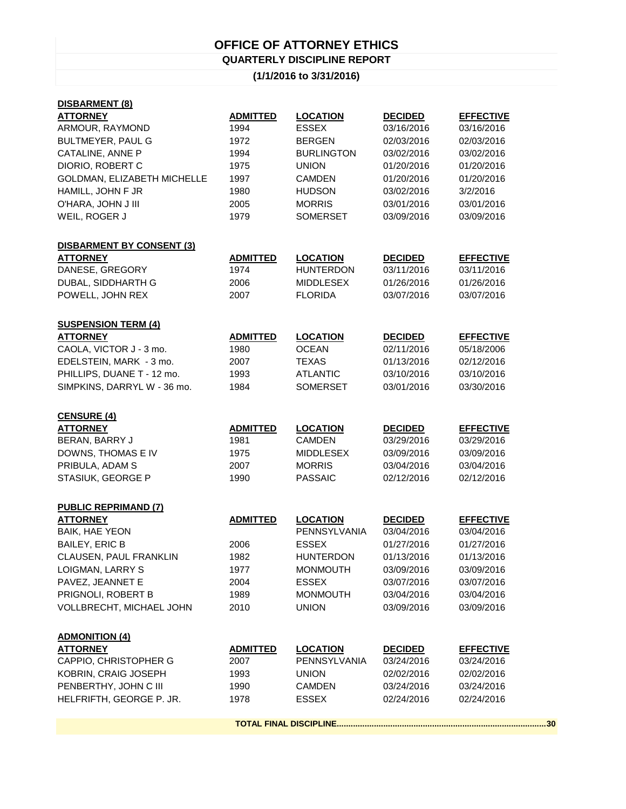## **OFFICE OF ATTORNEY ETHICS**

**QUARTERLY DISCIPLINE REPORT**

## **(1/1/2016 to 3/31/2016)**

| DISBARMENT (8)                   |                 |                   |                |                  |
|----------------------------------|-----------------|-------------------|----------------|------------------|
| <b>ATTORNEY</b>                  | <b>ADMITTED</b> | <b>LOCATION</b>   | <b>DECIDED</b> | <b>EFFECTIVE</b> |
| ARMOUR, RAYMOND                  | 1994            | <b>ESSEX</b>      | 03/16/2016     | 03/16/2016       |
| <b>BULTMEYER, PAUL G</b>         | 1972            | <b>BERGEN</b>     | 02/03/2016     | 02/03/2016       |
| CATALINE, ANNE P                 | 1994            | <b>BURLINGTON</b> | 03/02/2016     | 03/02/2016       |
| DIORIO, ROBERT C                 | 1975            | <b>UNION</b>      | 01/20/2016     | 01/20/2016       |
| GOLDMAN, ELIZABETH MICHELLE      | 1997            | <b>CAMDEN</b>     | 01/20/2016     | 01/20/2016       |
| HAMILL, JOHN F JR                | 1980            | <b>HUDSON</b>     | 03/02/2016     | 3/2/2016         |
| O'HARA, JOHN J III               | 2005            | <b>MORRIS</b>     | 03/01/2016     | 03/01/2016       |
| WEIL, ROGER J                    | 1979            | <b>SOMERSET</b>   | 03/09/2016     | 03/09/2016       |
| <b>DISBARMENT BY CONSENT (3)</b> |                 |                   |                |                  |
| <b>ATTORNEY</b>                  | <b>ADMITTED</b> | <b>LOCATION</b>   | <b>DECIDED</b> | <b>EFFECTIVE</b> |
| DANESE, GREGORY                  | 1974            | <b>HUNTERDON</b>  | 03/11/2016     | 03/11/2016       |
| DUBAL, SIDDHARTH G               | 2006            | <b>MIDDLESEX</b>  | 01/26/2016     | 01/26/2016       |
| POWELL, JOHN REX                 | 2007            | <b>FLORIDA</b>    | 03/07/2016     | 03/07/2016       |
| <b>SUSPENSION TERM (4)</b>       |                 |                   |                |                  |
| <b>ATTORNEY</b>                  | <b>ADMITTED</b> | <b>LOCATION</b>   | <b>DECIDED</b> | <b>EFFECTIVE</b> |
| CAOLA, VICTOR J - 3 mo.          | 1980            | <b>OCEAN</b>      | 02/11/2016     | 05/18/2006       |
| EDELSTEIN, MARK - 3 mo.          | 2007            | <b>TEXAS</b>      | 01/13/2016     | 02/12/2016       |
| PHILLIPS, DUANE T - 12 mo.       | 1993            | <b>ATLANTIC</b>   | 03/10/2016     | 03/10/2016       |
| SIMPKINS, DARRYL W - 36 mo.      | 1984            | <b>SOMERSET</b>   | 03/01/2016     | 03/30/2016       |
| <b>CENSURE (4)</b>               |                 |                   |                |                  |
| <b>ATTORNEY</b>                  | <b>ADMITTED</b> | <b>LOCATION</b>   | <b>DECIDED</b> | <b>EFFECTIVE</b> |
| BERAN, BARRY J                   | 1981            | <b>CAMDEN</b>     | 03/29/2016     | 03/29/2016       |
| DOWNS, THOMAS E IV               | 1975            | <b>MIDDLESEX</b>  | 03/09/2016     | 03/09/2016       |
| PRIBULA, ADAM S                  | 2007            | <b>MORRIS</b>     | 03/04/2016     | 03/04/2016       |
| STASIUK, GEORGE P                | 1990            | <b>PASSAIC</b>    | 02/12/2016     | 02/12/2016       |
| <b>PUBLIC REPRIMAND (7)</b>      |                 |                   |                |                  |
| <b>ATTORNEY</b>                  | <b>ADMITTED</b> | <b>LOCATION</b>   | <b>DECIDED</b> | <b>EFFECTIVE</b> |
| <b>BAIK, HAE YEON</b>            |                 | PENNSYLVANIA      | 03/04/2016     | 03/04/2016       |
| <b>BAILEY, ERIC B</b>            | 2006            | <b>ESSEX</b>      | 01/27/2016     | 01/27/2016       |
| CLAUSEN, PAUL FRANKLIN           | 1982            | <b>HUNTERDON</b>  | 01/13/2016     | 01/13/2016       |
| LOIGMAN, LARRY S                 | 1977            | <b>MONMOUTH</b>   | 03/09/2016     | 03/09/2016       |
| PAVEZ, JEANNET E                 | 2004            | <b>ESSEX</b>      | 03/07/2016     | 03/07/2016       |
| PRIGNOLI, ROBERT B               | 1989            | <b>MONMOUTH</b>   | 03/04/2016     | 03/04/2016       |
| VOLLBRECHT, MICHAEL JOHN         | 2010            | <b>UNION</b>      | 03/09/2016     | 03/09/2016       |
| <b>ADMONITION (4)</b>            |                 |                   |                |                  |
| <b>ATTORNEY</b>                  | <b>ADMITTED</b> | <b>LOCATION</b>   | <b>DECIDED</b> | <b>EFFECTIVE</b> |
| CAPPIO, CHRISTOPHER G            | 2007            | PENNSYLVANIA      | 03/24/2016     | 03/24/2016       |
| KOBRIN, CRAIG JOSEPH             | 1993            | <b>UNION</b>      | 02/02/2016     | 02/02/2016       |
| PENBERTHY, JOHN C III            | 1990            | CAMDEN            | 03/24/2016     | 03/24/2016       |
| HELFRIFTH, GEORGE P. JR.         | 1978            | <b>ESSEX</b>      | 02/24/2016     | 02/24/2016       |
|                                  |                 |                   |                |                  |

**TOTAL FINAL DISCIPLINE..........................................................................................30**